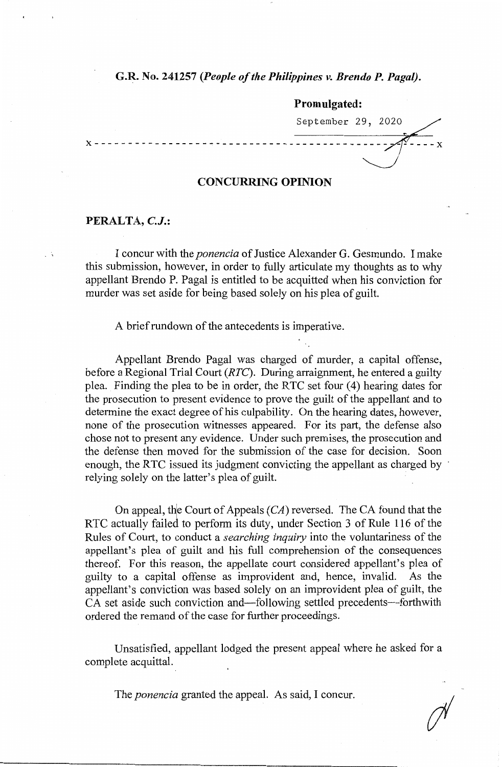## **G.R. No. 241257** *(People of the Philippines v. Brendo P. Paga[).*

**Promulgated:**  September 29, 2020~/ **<sup>X</sup>**- - - - - - - - - - - - - - - - - - - - - - - - - - - - - - - - - - - - - - - -*J--* **<sup>X</sup>**

## **CONCURRING OPINION**

## **PERALTA, C.J.:**

I concur with the *ponencia* of Justice Alexander G. Gesmundo. I make this submission, however, in order to fully articulate my thoughts as to why appellant Brendo P. Pagal is entitled to be acquitted when his conviction for murder was set aside for being based solely on his plea of guilt.

A brief rundown of the antecedents is imperative.

Appellant Brendo Pagal was charged of murder, a capital offense, before a Regional Trial Court *(RTC).* During arraignment, he entered a guilty plea. Finding the plea to be in order, the RTC set four (4) hearing dates for the prosecution to present evidence to prove the guilt of the appellant and to determine the exact degree of his culpability. On the hearing dates, however, none of the prosecution witnesses appeared. For its part, the defense also chose not to present any evidence. Under such premises, the prosecution and the defense then moved for the submission of the case for decision. Soon enough, the RTC issued its judgment convicting the appellant as charged by relying solely on the latter's plea of guilt.

On appeal, the Court of Appeals  $(CA)$  reversed. The CA found that the RTC actually failed to perform its duty, under Section 3 of Rule 116 of the Rules of Court, to conduct a *searching inquiry* into the voluntariness of the appellant's plea of guilt and his full comprehension of the consequences thereof. For this reason, the appellate court considered appellant's plea of guilty to a capital offense as improvident and, hence, invalid. As the appellant's conviction was based solely on an improvident plea of guilt, the CA set aside such conviction and—following settled precedents—forthwith ordered the remand of the case for further proceedings.

Unsatisfied, appellant lodged the present appeal where he asked for a complete acquittal.

The *ponencia* granted the appeal. As said, I concur.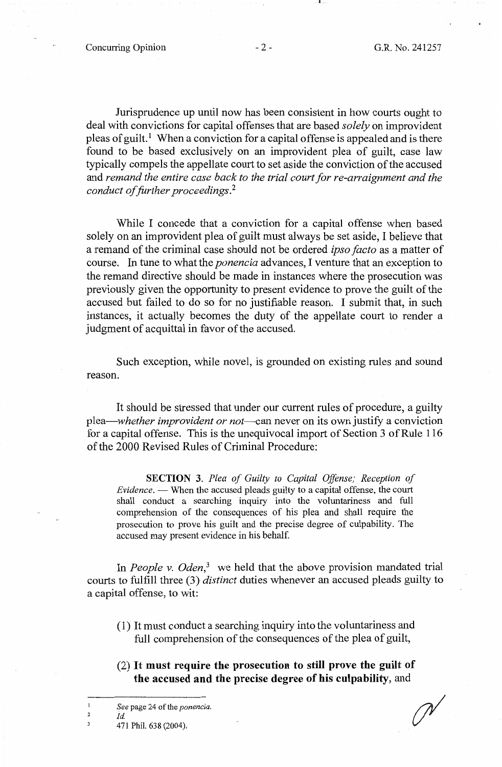Concurring Opinion  $-2$  - G.R. No. 241257

Jurisprudence up until now has been consistent in how courts ought to deal with convictions for capital offenses that are based *solely* on improvident pleas of guilt. 1 When a conviction for a capital offense is appealed and is there found to be based exclusively on an improvident plea of guilt, case law typically compels the appellate court to set aside the conviction of the accused and *remand the entire case back to the trial court for re-arraignment and the conduct of further proceedings.* <sup>2</sup>

While I concede that a conviction for a capital offense when based solely on an improvident plea of guilt must always be set aside, I believe that a remand of the criminal case should not be ordered *ipso facto* as a matter of course. In tune to what the *ponencia* advances, I venture that an exception to the remand directive should be made in instances where the prosecution was previously given the opportunity to present evidence to prove the guilt of the accused but failed to do so for no justifiable reason. I submit that, in such instances, it actually becomes the duty of the appellate court to render a judgment of acquittal in favor of the accused.

Such exception, while novel, is grounded on existing rules and sound reason.

It should be stressed that under our current rules of procedure, a guilty *plea-whether improvident or not-can* never on its own justify a conviction for a capital offense. This is the unequivocal import of Section 3 of Rule 116 of the 2000 Revised Rules of Criminal Procedure:

**SECTION 3.** *Plea of Guilty to Capital Offense; Reception of Evidence.* - When the accused pleads guilty to a capital offense, the court shall conduct a searching inquiry into the voluntariness and full comprehension of the consequences of his plea and shall require the prosecution to prove his guilt and the precise degree of culpability. The accused may present evidence in his behalf.

In *People v. Oden*<sup>3</sup> we held that the above provision mandated trial courts to fulfill three (3) *distinct* duties whenever an accused pleads guilty to a capital offense, to wit:

- (1) It must conduct a searching inquiry into the voluntariness and full comprehension of the consequences of the plea of guilt,
- (2) It **must require the prosecution to still prove the guilt of the accused and the precise degree of his culpability,** and

2  $\overline{\mathbf{3}}$ 

471 Phil. 638 (2004).

*Id.* 

 $\mathbf{1}$ *See* page 24 of the *ponencia.*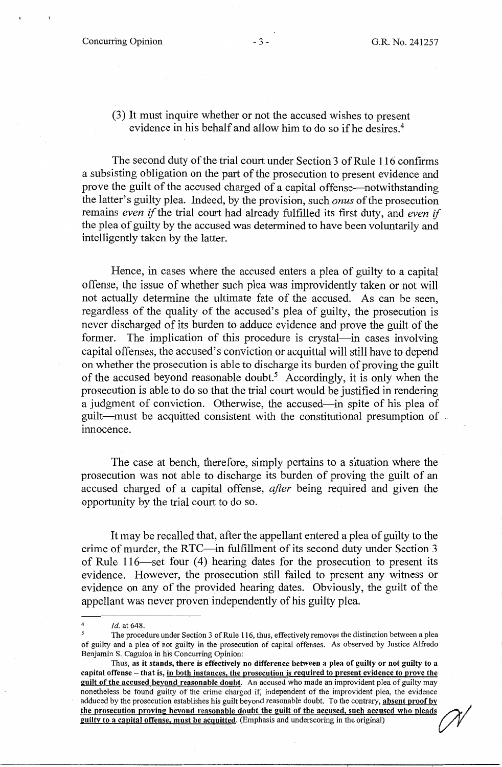(3) It must inquire whether or not the accused wishes to present evidence in his behalf and allow him to do so if he desires.<sup>4</sup>

The second duty of the trial court under Section 3 of Rule 116 confirms a subsisting obligation on the part of the prosecution to present evidence and prove the guilt of the accused charged of a capital offense—notwithstanding the latter's guilty plea. Indeed, by the provision, such *onus* of the prosecution remains *even* if the trial court had already fulfilled its first duty, and *even* if the plea of guilty by the accused was determined to have been voluntarily and intelligently taken by the latter.

Hence, in cases where the accused enters a plea of guilty to a capital offense, the issue of whether such plea was improvidently taken or not will not actually determine the ultimate fate of the accused. As can be seen, regardless of the quality of the accused's plea of guilty, the prosecution is never discharged of its burden to adduce evidence and prove the guilt of the former. The implication of this procedure is crystal—in cases involving capital offenses, the accused's conviction or acquittal will still have to depend on whether the prosecution is able to discharge its burden of proving the guilt of the accused beyond reasonable doubt.<sup>5</sup> Accordingly, it is only when the prosecution is able to do so that the trial court would be justified in rendering a judgment of conviction. Otherwise, the accused-in spite of his plea of guilt-must be acquitted consistent with the constitutional presumption of innocence.

The case at bench, therefore, simply pertains to a situation where the prosecution was not able to discharge its burden of proving the guilt of an accused charged of a capital offense, *after* being required and given the opportunity by the trial court to do so.

It may be recalled that, after the appellant entered a plea of guilty to the crime of murder, the RTC-in fulfillment of its second duty under Section 3 of Rule 116-set four (4) hearing dates for the prosecution to present its evidence. However, the prosecution still failed to present any witness or evidence on any of the provided hearing dates. Obviously, the guilt of the appellant was never proven independently of his guilty plea.

Id. at 648.

*<sup>5</sup>*The procedure under Section 3 of Rule 116, thus, effectively removes the distinction between a plea of guilty and a plea of not guilty in the prosecution of capital offenses. As observed by Justice Alfredo Benjamin S. Caguioa in his Concurring Opinion:

Thus, **as it stands, there is effectively no difference between a plea of guilty or not guilty to a capital offense** - **that is, in both instances, the prosecution is required to present evidence to prove the guilt of the accused beyond reasonable doubt.** An accused who made an improvident plea of guilty may nonetheless be found guilty of the crime charged if, independent of the improvident plea, the evidence adduced by the prosecution establishes his guilt beyond reasonable doubt. To the contrary, **absent proof by**  adduced by the prosecution establishes his guilt beyond reasonable doubt. To the contrary, absent proof by the prosecution proving beyond reasonable doubt the guilt of the accused, such accused who pleads guilty to a capit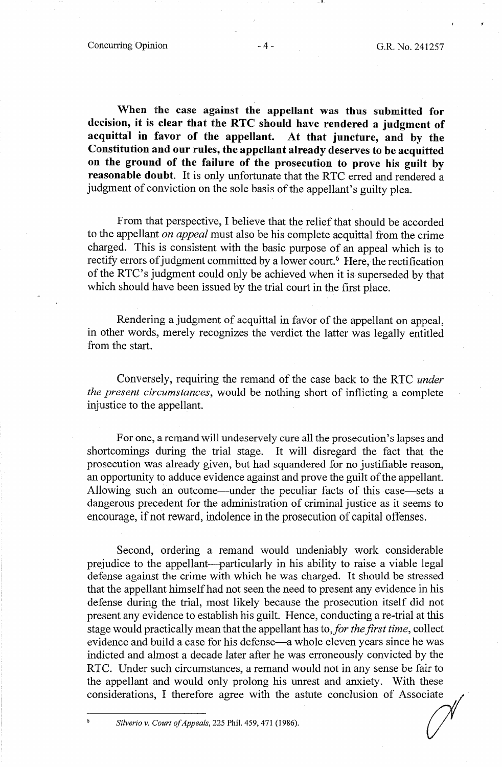**When the case against the appellant was thus submitted for decision, it is clear that the RTC should have rendered a judgment of acquittal in favor of the appellant. At that juncture, and by the Constitution and our rules, the appellant already deserves to be acquitted on the ground of the failure of the prosecution to prove his guilt by reasonable doubt.** It is only unfortunate that the RTC erred and rendered a judgment of conviction on the sole basis of the appellant's guilty plea.

From that perspective, I believe that the relief that should be accorded to the appellant *on appeal* must also be his complete acquittal from the crime charged. This is consistent with the basic purpose of an appeal which is to rectify errors of judgment committed by a lower court.<sup>6</sup> Here, the rectification of the RTC's judgment could only be achieved when it is superseded by that which should have been issued by the trial court in the first place.

Rendering a judgment of acquittal in favor of the appellant on appeal, in other words, merely recognizes the verdict the latter was legally entitled from the start.

Conversely, requiring the remand of the case back to the RTC *under the present circumstances,* would be nothing short of inflicting a complete injustice to the appellant.

For one, a remand will undeservely cure all the prosecution's lapses and shortcomings during the trial stage. It will disregard the fact that the prosecution was already given, but had squandered for no justifiable reason, an opportunity to adduce evidence against and prove the guilt of the appellant. Allowing such an outcome—under the peculiar facts of this case—sets a dangerous precedent for the administration of criminal justice as it seems to encourage, if not reward, indolence in the prosecution of capital offenses.

Second, ordering a remand would undeniably work considerable prejudice to the appellant-particularly in his ability to raise a viable legal defense against the crime with which he was charged. It should be stressed that the appellant himself had not seen the need to present any evidence in his defense during the trial, most likely because the prosecution itself did not present any evidence to establish his guilt. Hence, conducting a re-trial at this stage would practically mean that the appellant has to,/or *the first time,* collect evidence and build a case for his defense—a whole eleven years since he was indicted and almost a decade later after he was erroneously convicted by the RTC. Under such circumstances, a remand would not in any sense be fair to the appellant and would only prolong his unrest and anxiety. With these considerations, I therefore agree with the astute conclusion of Associate

*Silverio v. Court of Appeals, 225 Phil. 459, 471 (1986).*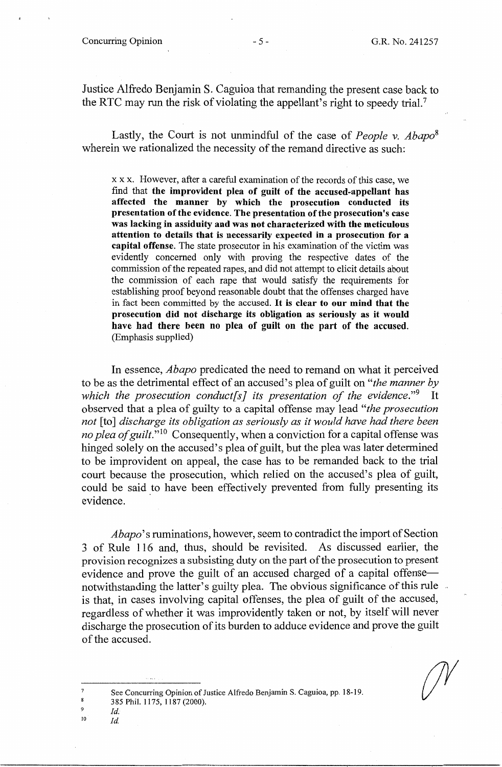Justice Alfredo Benjamin S. Caguioa that remanding the present case back to the RTC may run the risk of violating the appellant's right to speedy trial.7

Lastly, the Court is not unmindful of the case of *People v. Abapo8*  wherein we rationalized the necessity of the remand directive as such:

x x x. However, after a careful examination of the records of this case, we find that **the improvident plea of guilt of the accused-appellant has affected the manner by which the prosecution conducted its presentation of the evidence. The presentation of the prosecution's case was lacking in assiduity and was not characterized with the meticulous attention to details that is necessarily expected in a prosecution for a capital offense.** The state prosecutor in his examination of the victim was evidently concerned only with proving the respective dates of the commission of the repeated rapes, and did not attempt to elicit details about the commission of each rape that would satisfy the requirements for establishing proof beyond reasonable doubt that the offenses charged have in fact been committed by the accused. It **is clear to our mind that the**  prosecution did not discharge its obligation as seriously as it would **have had there been no plea of guilt on the part of the accused.**  (Emphasis supplied)

In essence, *Abapo* predicated the need to remand on what it perceived to be as the detrimental effect of an accused's plea of guilt on *"the manner by which the prosecution conduct* [s] its presentation of the evidence."<sup>9</sup> It observed that a plea of guilty to a capital offense may lead *"the prosecution not* [to] *discharge its obligation as seriously as it would have had there been no plea of guilt.*"<sup>10</sup> Consequently, when a conviction for a capital offense was hinged solely on the accused's plea of guilt, but the plea was later determined to be improvident on appeal, the case has to be remanded back to the trial court because the prosecution, which relied on the accused's plea of guilt, could be said to have been effectively prevented from fully presenting its evidence.

*Abapo'* s ruminations, however, seem to contradict the import of Section 3 of Rule 116 and, thus, should be revisited. As discussed earlier, the provision recognizes a subsisting duty on the part of the prosecution to present evidence and prove the guilt of an accused charged of a capital offensenotwithstanding the latter's guilty plea. The obvious significance of this rule is that, in cases involving capital offenses, the plea of guilt of the accused, regardless of whether it was improvidently taken or not, by itself will never discharge the prosecution of its burden to adduce evidence and prove the guilt of the accused.

*Id. Id.* 

9 10

<sup>7</sup>  8 See Concurring Opinion of Justice Alfredo Benjamin S. Caguioa, pp. 18-19.

<sup>385</sup> Phil. 1175, 1187 (2000).